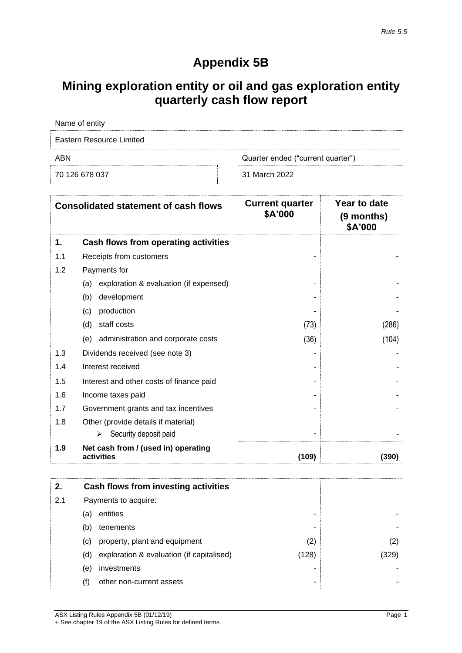## **Appendix 5B**

# **Mining exploration entity or oil and gas exploration entity quarterly cash flow report**

| Name of entity           |                                   |  |
|--------------------------|-----------------------------------|--|
| Eastern Resource Limited |                                   |  |
| ABN                      | Quarter ended ("current quarter") |  |
| 70 126 678 037           | 31 March 2022                     |  |

| <b>Consolidated statement of cash flows</b> |                                                   | <b>Current quarter</b><br>\$A'000 | Year to date<br>(9 months)<br>\$A'000 |
|---------------------------------------------|---------------------------------------------------|-----------------------------------|---------------------------------------|
| 1.                                          | Cash flows from operating activities              |                                   |                                       |
| 1.1                                         | Receipts from customers                           |                                   |                                       |
| 1.2                                         | Payments for                                      |                                   |                                       |
|                                             | exploration & evaluation (if expensed)<br>(a)     |                                   |                                       |
|                                             | (b)<br>development                                |                                   |                                       |
|                                             | (c)<br>production                                 |                                   |                                       |
|                                             | (d)<br>staff costs                                | (73)                              | (286)                                 |
|                                             | administration and corporate costs<br>(e)         | (36)                              | (104)                                 |
| 1.3                                         | Dividends received (see note 3)                   |                                   |                                       |
| 1.4                                         | Interest received                                 |                                   |                                       |
| 1.5                                         | Interest and other costs of finance paid          |                                   |                                       |
| 1.6                                         | Income taxes paid                                 |                                   |                                       |
| 1.7                                         | Government grants and tax incentives              |                                   |                                       |
| 1.8                                         | Other (provide details if material)               |                                   |                                       |
|                                             | Security deposit paid<br>⋗                        |                                   |                                       |
| 1.9                                         | Net cash from / (used in) operating<br>activities | (109)                             | (390)                                 |

| 2.  |                                 | Cash flows from investing activities      |       |      |
|-----|---------------------------------|-------------------------------------------|-------|------|
| 2.1 | Payments to acquire:            |                                           |       |      |
|     | entities<br>(a)                 |                                           | -     |      |
|     | (b)<br>tenements                |                                           | -     |      |
|     | (C)                             | property, plant and equipment             | (2)   | (2)  |
|     | (d)                             | exploration & evaluation (if capitalised) | (128) | (329 |
|     | investments<br>(e)              |                                           |       |      |
|     | other non-current assets<br>(f) |                                           | -     |      |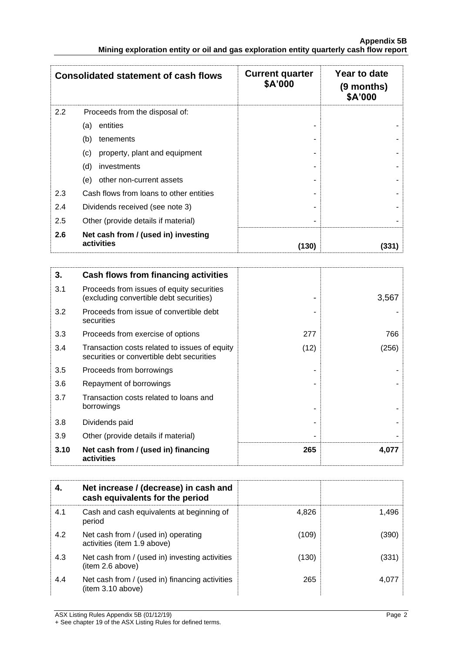|     | <b>Consolidated statement of cash flows</b>       | <b>Current quarter</b><br>\$A'000 | Year to date<br>$(9$ months)<br>\$A'000 |
|-----|---------------------------------------------------|-----------------------------------|-----------------------------------------|
| 2.2 | Proceeds from the disposal of:                    |                                   |                                         |
|     | entities<br>(a)                                   |                                   |                                         |
|     | (b)<br>tenements                                  |                                   |                                         |
|     | property, plant and equipment<br>(c)              |                                   |                                         |
|     | (d)<br>investments                                |                                   |                                         |
|     | other non-current assets<br>(e)                   |                                   |                                         |
| 2.3 | Cash flows from loans to other entities           |                                   |                                         |
| 2.4 | Dividends received (see note 3)                   |                                   |                                         |
| 2.5 | Other (provide details if material)               |                                   |                                         |
| 2.6 | Net cash from / (used in) investing<br>activities | (130)                             | (331)                                   |

| 3.   | Cash flows from financing activities                                                       |      |       |
|------|--------------------------------------------------------------------------------------------|------|-------|
| 3.1  | Proceeds from issues of equity securities<br>(excluding convertible debt securities)       |      | 3,567 |
| 3.2  | Proceeds from issue of convertible debt<br>securities                                      |      |       |
| 3.3  | Proceeds from exercise of options                                                          | 277  | 766   |
| 3.4  | Transaction costs related to issues of equity<br>securities or convertible debt securities | (12) | (256) |
| 3.5  | Proceeds from borrowings                                                                   |      |       |
| 3.6  | Repayment of borrowings                                                                    |      |       |
| 3.7  | Transaction costs related to loans and<br>borrowings                                       |      |       |
| 3.8  | Dividends paid                                                                             |      |       |
| 3.9  | Other (provide details if material)                                                        |      |       |
| 3.10 | Net cash from / (used in) financing<br>activities                                          | 265  | 4,077 |

| 4.  | Net increase / (decrease) in cash and<br>cash equivalents for the period |       |       |
|-----|--------------------------------------------------------------------------|-------|-------|
| 4.1 | Cash and cash equivalents at beginning of<br>period                      | 4,826 | 1,496 |
| 4.2 | Net cash from / (used in) operating<br>activities (item 1.9 above)       | (109) | (390) |
| 4.3 | Net cash from / (used in) investing activities<br>(item 2.6 above)       | (130) | (331) |
| 4.4 | Net cash from / (used in) financing activities<br>(item 3.10 above)      | 265   | 4.07  |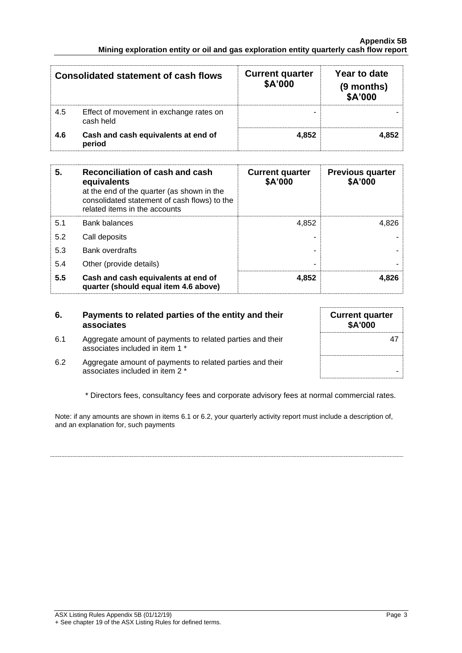#### **Appendix 5B Mining exploration entity or oil and gas exploration entity quarterly cash flow report**

|     | <b>Consolidated statement of cash flows</b>          | <b>Current quarter</b><br>\$A'000 | Year to date<br>(9 months)<br>\$A'000 |
|-----|------------------------------------------------------|-----------------------------------|---------------------------------------|
| 4.5 | Effect of movement in exchange rates on<br>cash held |                                   |                                       |
| 4.6 | Cash and cash equivalents at end of<br>period        | 4.852                             | 4.852                                 |

| 5.  | Reconciliation of cash and cash<br>equivalents<br>at the end of the quarter (as shown in the<br>consolidated statement of cash flows) to the<br>related items in the accounts | <b>Current quarter</b><br>\$A'000 | <b>Previous quarter</b><br>\$A'000 |
|-----|-------------------------------------------------------------------------------------------------------------------------------------------------------------------------------|-----------------------------------|------------------------------------|
| 5.1 | <b>Bank balances</b>                                                                                                                                                          | 4.852                             | 4.826                              |
| 5.2 | Call deposits                                                                                                                                                                 |                                   |                                    |
| 5.3 | <b>Bank overdrafts</b>                                                                                                                                                        |                                   |                                    |
| 5.4 | Other (provide details)                                                                                                                                                       | -                                 |                                    |
| 5.5 | Cash and cash equivalents at end of<br>quarter (should equal item 4.6 above)                                                                                                  | 4,852                             | 4.826                              |

### **6. Payments to related parties of the entity and their associates**

6.1 Aggregate amount of payments to related parties and their associates included in item 1 \*

| <b>Current quarter</b><br>\$A'000 |
|-----------------------------------|
| 47                                |
|                                   |

6.2 Aggregate amount of payments to related parties and their  $\sim$  associates included in item 2  $*$ 

\* Directors fees, consultancy fees and corporate advisory fees at normal commercial rates.

Note: if any amounts are shown in items 6.1 or 6.2, your quarterly activity report must include a description of, and an explanation for, such payments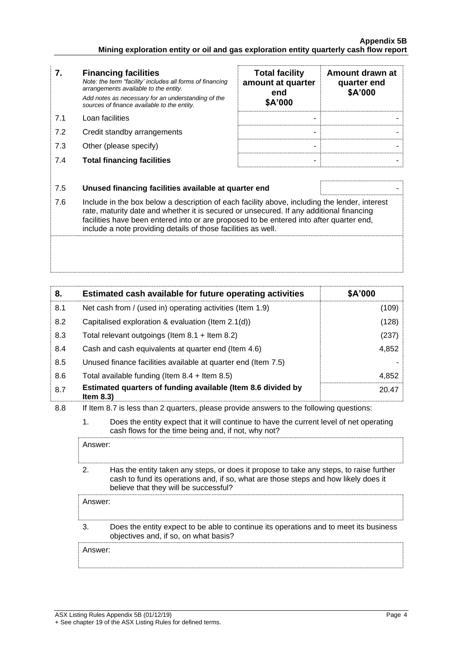### **Appendix 5B Mining exploration entity or oil and gas exploration entity quarterly cash flow report**

|     | <b>Financing facilities</b><br>Note: the term "facility' includes all forms of financing<br>arrangements available to the entity.<br>Add notes as necessary for an understanding of the<br>sources of finance available to the entity. | <b>Total facility</b><br>amount at quarter<br>end<br>\$A'000 | Amount drawn at<br>quarter end<br>\$A'000 |
|-----|----------------------------------------------------------------------------------------------------------------------------------------------------------------------------------------------------------------------------------------|--------------------------------------------------------------|-------------------------------------------|
| 71  | Loan facilities                                                                                                                                                                                                                        |                                                              |                                           |
| 7.2 | Credit standby arrangements                                                                                                                                                                                                            | -                                                            |                                           |
| 7.3 | Other (please specify)                                                                                                                                                                                                                 |                                                              |                                           |
|     |                                                                                                                                                                                                                                        |                                                              |                                           |

| <b>Total facility</b><br>amount at quarter<br>end<br>\$A'000 | Amount drawn at<br>quarter end<br>\$A'000 |
|--------------------------------------------------------------|-------------------------------------------|
|                                                              |                                           |
|                                                              |                                           |
|                                                              |                                           |
|                                                              |                                           |

### 7.5 **Unused financing facilities available at quarter end** -

**7.4 Total financing facilities** 

7.6 Include in the box below a description of each facility above, including the lender, interest rate, maturity date and whether it is secured or unsecured. If any additional financing facilities have been entered into or are proposed to be entered into after quarter end, include a note providing details of those facilities as well.

| 8.  | Estimated cash available for future operating activities                     | \$A'000 |
|-----|------------------------------------------------------------------------------|---------|
| 8.1 | Net cash from / (used in) operating activities (Item 1.9)                    | (109)   |
| 8.2 | Capitalised exploration & evaluation (Item 2.1(d))                           | (128)   |
| 8.3 | Total relevant outgoings (Item $8.1 +$ Item $8.2$ )                          | (237)   |
| 8.4 | Cash and cash equivalents at quarter end (Item 4.6)                          | 4,852   |
| 8.5 | Unused finance facilities available at quarter end (Item 7.5)                |         |
| 8.6 | Total available funding (Item $8.4 +$ Item $8.5$ )                           | 4,852   |
| 8.7 | Estimated quarters of funding available (Item 8.6 divided by<br>Item $8.3$ ) | 20.47   |

8.8 If Item 8.7 is less than 2 quarters, please provide answers to the following questions:

1. Does the entity expect that it will continue to have the current level of net operating cash flows for the time being and, if not, why not?

2. Has the entity taken any steps, or does it propose to take any steps, to raise further cash to fund its operations and, if so, what are those steps and how likely does it believe that they will be successful?

Answer:

Answer:

3. Does the entity expect to be able to continue its operations and to meet its business objectives and, if so, on what basis?

Answer: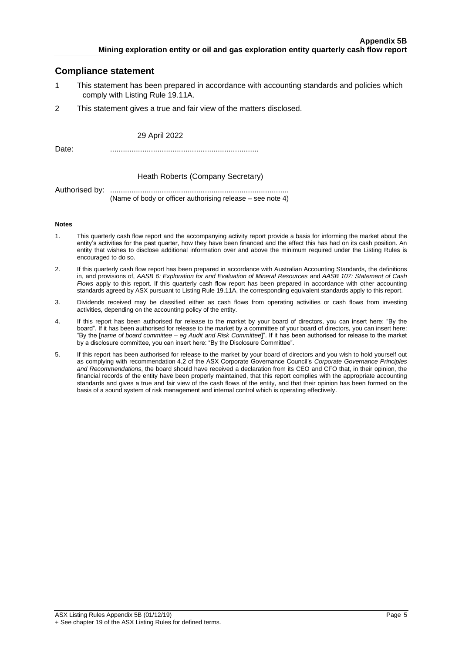## **Compliance statement**

- 1 This statement has been prepared in accordance with accounting standards and policies which comply with Listing Rule 19.11A.
- 2 This statement gives a true and fair view of the matters disclosed.

#### 29 April 2022

Date: .....................................................................

#### Heath Roberts (Company Secretary)

Authorised by: ................................................................................... (Name of body or officer authorising release – see note 4)

#### **Notes**

- 1. This quarterly cash flow report and the accompanying activity report provide a basis for informing the market about the entity's activities for the past quarter, how they have been financed and the effect this has had on its cash position. An entity that wishes to disclose additional information over and above the minimum required under the Listing Rules is encouraged to do so.
- 2. If this quarterly cash flow report has been prepared in accordance with Australian Accounting Standards, the definitions in, and provisions of, *AASB 6: Exploration for and Evaluation of Mineral Resources* and *AASB 107: Statement of Cash Flows* apply to this report. If this quarterly cash flow report has been prepared in accordance with other accounting standards agreed by ASX pursuant to Listing Rule 19.11A, the corresponding equivalent standards apply to this report.
- 3. Dividends received may be classified either as cash flows from operating activities or cash flows from investing activities, depending on the accounting policy of the entity.
- 4. If this report has been authorised for release to the market by your board of directors, you can insert here: "By the board". If it has been authorised for release to the market by a committee of your board of directors, you can insert here: "By the [*name of board committee* – *eg Audit and Risk Committee*]". If it has been authorised for release to the market by a disclosure committee, you can insert here: "By the Disclosure Committee".
- 5. If this report has been authorised for release to the market by your board of directors and you wish to hold yourself out as complying with recommendation 4.2 of the ASX Corporate Governance Council's *Corporate Governance Principles and Recommendations*, the board should have received a declaration from its CEO and CFO that, in their opinion, the financial records of the entity have been properly maintained, that this report complies with the appropriate accounting standards and gives a true and fair view of the cash flows of the entity, and that their opinion has been formed on the basis of a sound system of risk management and internal control which is operating effectively.